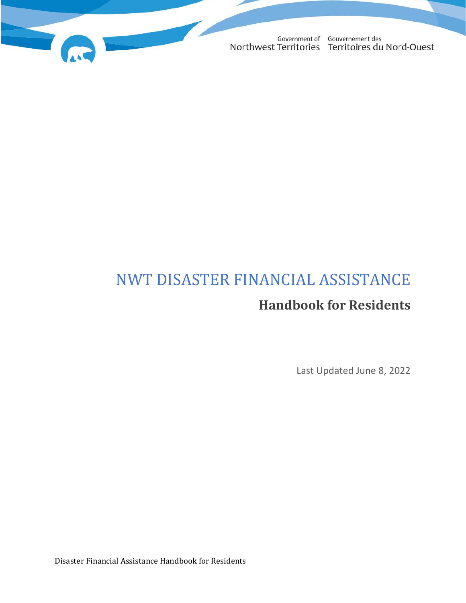

# NWT DISASTER FINANCIAL ASSISTANCE **Handbook for Residents**

Last Updated June 8, 2022

Disaster Financial Assistance Handbook for Residents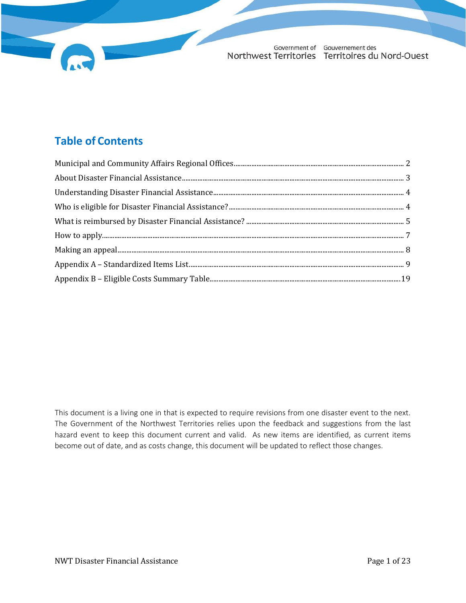# **Table of Contents**

This document is a living one in that is expected to require revisions from one disaster event to the next. The Government of the Northwest Territories relies upon the feedback and suggestions from the last hazard event to keep this document current and valid. As new items are identified, as current items become out of date, and as costs change, this document will be updated to reflect those changes.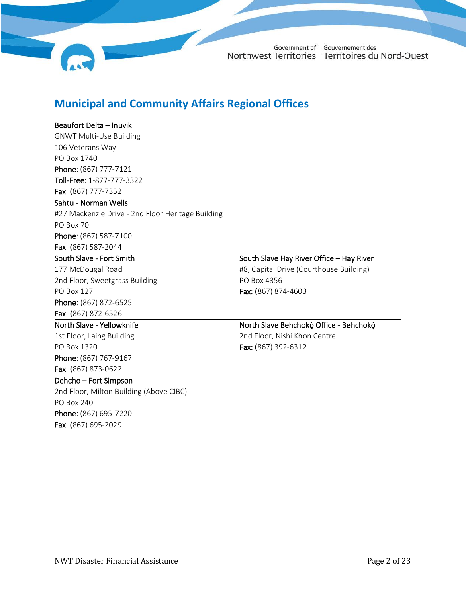

### <span id="page-2-0"></span>**Municipal and Community Affairs Regional Offices**

### Beaufort Delta – Inuvik

GNWT Multi-Use Building 106 Veterans Way PO Box 1740 Phone: (867) 777-7121 Toll-Free: 1-877-777-3322 Fax: (867) 777-7352

#### Sahtu - Norman Wells

#27 Mackenzie Drive - 2nd Floor Heritage Building PO Box 70 Phone: (867) 587-7100 Fax: (867) 587-2044

#### South Slave - Fort Smith

177 McDougal Road 2nd Floor, Sweetgrass Building PO Box 127 Phone: (867) 872-6525 Fax: (867) 872-6526

### North Slave - Yellowknife

1st Floor, Laing Building PO Box 1320 Phone: (867) 767-9167 Fax: (867) 873-0622

#### Dehcho – Fort Simpson

2nd Floor, Milton Building (Above CIBC) PO Box 240 Phone: (867) 695-7220 Fax: (867) 695-2029

South Slave Hay River Office – Hay River #8, Capital Drive (Courthouse Building)

PO Box 4356 Fax: (867) 874-4603

### North Slave Behchokǫ̀ Office - Behchokǫ̀

2nd Floor, Nishi Khon Centre Fax: (867) 392-6312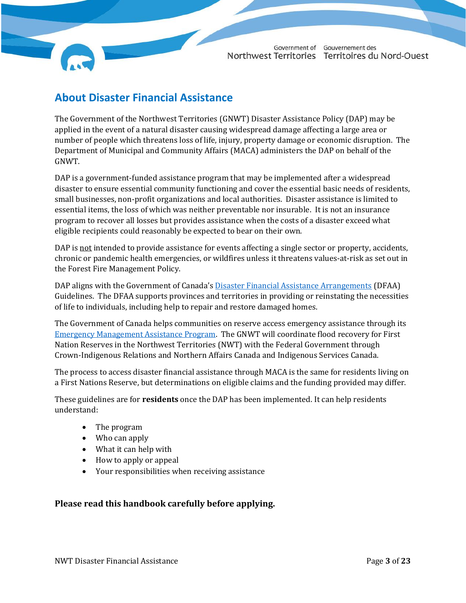### <span id="page-3-0"></span>**About Disaster Financial Assistance**

The Government of the Northwest Territories (GNWT) Disaster Assistance Policy (DAP) may be applied in the event of a natural disaster causing widespread damage affecting a large area or number of people which threatens loss of life, injury, property damage or economic disruption. The Department of Municipal and Community Affairs (MACA) administers the DAP on behalf of the GNWT.

DAP is a government-funded assistance program that may be implemented after a widespread disaster to ensure essential community functioning and cover the essential basic needs of residents, small businesses, non-profit organizations and local authorities. Disaster assistance is limited to essential items, the loss of which was neither preventable nor insurable. It is not an insurance program to recover all losses but provides assistance when the costs of a disaster exceed what eligible recipients could reasonably be expected to bear on their own.

DAP is not intended to provide assistance for events affecting a single sector or property, accidents, chronic or pandemic health emergencies, or wildfires unless it threatens values-at-risk as set out in the Forest Fire Management Policy.

DAP aligns with the Government of Canada's [Disaster Financial Assistance Arrangements](https://www.publicsafety.gc.ca/cnt/mrgnc-mngmnt/rcvr-dsstrs/gdlns-dsstr-ssstnc/index-en.aspx) (DFAA) Guidelines. The DFAA supports provinces and territories in providing or reinstating the necessities of life to individuals, including help to repair and restore damaged homes.

The Government of Canada helps communities on reserve access emergency assistance through its [Emergency Management Assistance Program.](https://www.sac-isc.gc.ca/eng/1534954090122/1535120506707) The GNWT will coordinate flood recovery for First Nation Reserves in the Northwest Territories (NWT) with the Federal Government through Crown-Indigenous Relations and Northern Affairs Canada and Indigenous Services Canada.

The process to access disaster financial assistance through MACA is the same for residents living on a First Nations Reserve, but determinations on eligible claims and the funding provided may differ.

These guidelines are for **residents** once the DAP has been implemented. It can help residents understand:

- The program
- Who can apply
- What it can help with
- How to apply or appeal
- Your responsibilities when receiving assistance

### **Please read this handbook carefully before applying.**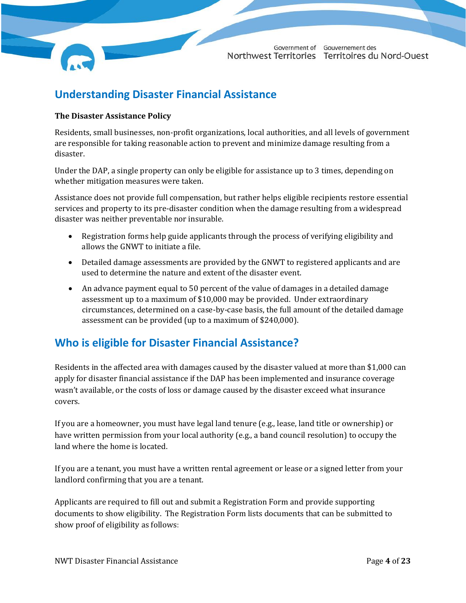### <span id="page-4-0"></span>**Understanding Disaster Financial Assistance**

#### **The Disaster Assistance Policy**

Residents, small businesses, non-profit organizations, local authorities, and all levels of government are responsible for taking reasonable action to prevent and minimize damage resulting from a disaster.

Under the DAP, a single property can only be eligible for assistance up to 3 times, depending on whether mitigation measures were taken.

Assistance does not provide full compensation, but rather helps eligible recipients restore essential services and property to its pre-disaster condition when the damage resulting from a widespread disaster was neither preventable nor insurable.

- Registration forms help guide applicants through the process of verifying eligibility and allows the GNWT to initiate a file.
- Detailed damage assessments are provided by the GNWT to registered applicants and are used to determine the nature and extent of the disaster event.
- An advance payment equal to 50 percent of the value of damages in a detailed damage assessment up to a maximum of \$10,000 may be provided. Under extraordinary circumstances, determined on a case-by-case basis, the full amount of the detailed damage assessment can be provided (up to a maximum of \$240,000).

### <span id="page-4-1"></span>**Who is eligible for Disaster Financial Assistance?**

Residents in the affected area with damages caused by the disaster valued at more than \$1,000 can apply for disaster financial assistance if the DAP has been implemented and insurance coverage wasn't available, or the costs of loss or damage caused by the disaster exceed what insurance covers.

If you are a homeowner, you must have legal land tenure (e.g., lease, land title or ownership) or have written permission from your local authority (e.g., a band council resolution) to occupy the land where the home is located.

If you are a tenant, you must have a written rental agreement or lease or a signed letter from your landlord confirming that you are a tenant.

Applicants are required to fill out and submit a Registration Form and provide supporting documents to show eligibility. The Registration Form lists documents that can be submitted to show proof of eligibility as follows: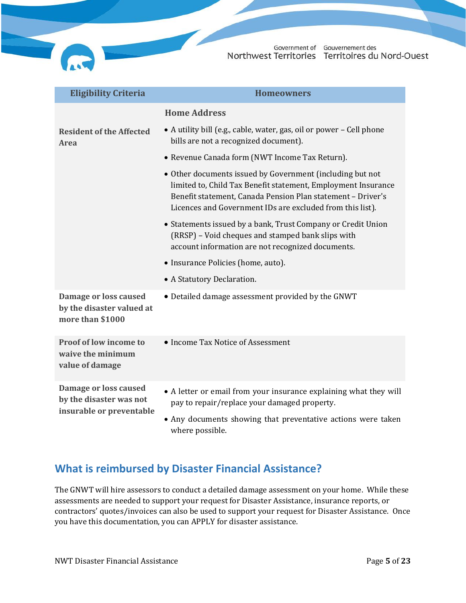| <b>Eligibility Criteria</b>                                            | <b>Homeowners</b>                                                                                                                                                                                                                                      |
|------------------------------------------------------------------------|--------------------------------------------------------------------------------------------------------------------------------------------------------------------------------------------------------------------------------------------------------|
|                                                                        | <b>Home Address</b>                                                                                                                                                                                                                                    |
| <b>Resident of the Affected</b><br>Area                                | • A utility bill (e.g., cable, water, gas, oil or power - Cell phone<br>bills are not a recognized document).                                                                                                                                          |
|                                                                        | • Revenue Canada form (NWT Income Tax Return).                                                                                                                                                                                                         |
|                                                                        | • Other documents issued by Government (including but not<br>limited to, Child Tax Benefit statement, Employment Insurance<br>Benefit statement, Canada Pension Plan statement - Driver's<br>Licences and Government IDs are excluded from this list). |
|                                                                        | • Statements issued by a bank, Trust Company or Credit Union<br>(RRSP) - Void cheques and stamped bank slips with<br>account information are not recognized documents.                                                                                 |
|                                                                        | • Insurance Policies (home, auto).                                                                                                                                                                                                                     |
|                                                                        | • A Statutory Declaration.                                                                                                                                                                                                                             |
| Damage or loss caused<br>by the disaster valued at<br>more than \$1000 | • Detailed damage assessment provided by the GNWT                                                                                                                                                                                                      |
| Proof of low income to<br>waive the minimum<br>value of damage         | • Income Tax Notice of Assessment                                                                                                                                                                                                                      |
| Damage or loss caused<br>by the disaster was not                       | • A letter or email from your insurance explaining what they will<br>pay to repair/replace your damaged property.                                                                                                                                      |
| insurable or preventable                                               | • Any documents showing that preventative actions were taken<br>where possible.                                                                                                                                                                        |

### <span id="page-5-0"></span>**What is reimbursed by Disaster Financial Assistance?**

The GNWT will hire assessors to conduct a detailed damage assessment on your home. While these assessments are needed to support your request for Disaster Assistance, insurance reports, or contractors' quotes/invoices can also be used to support your request for Disaster Assistance. Once you have this documentation, you can APPLY for disaster assistance.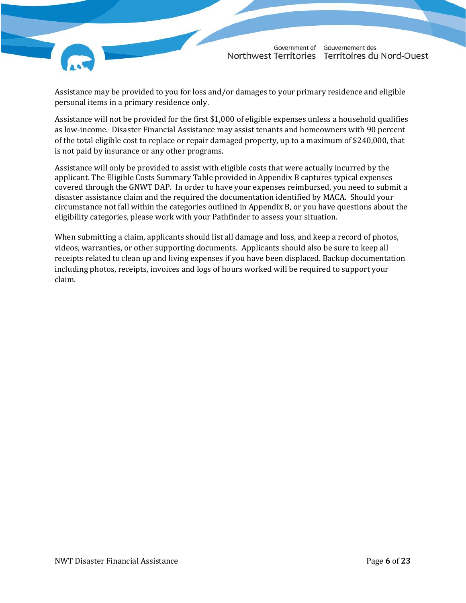

Assistance may be provided to you for loss and/or damages to your primary residence and eligible personal items in a primary residence only.

Assistance will not be provided for the first \$1,000 of eligible expenses unless a household qualifies as low-income. Disaster Financial Assistance may assist tenants and homeowners with 90 percent of the total eligible cost to replace or repair damaged property, up to a maximum of \$240,000, that is not paid by insurance or any other programs.

Assistance will only be provided to assist with eligible costs that were actually incurred by the applicant. The Eligible Costs Summary Table provided in Appendix B captures typical expenses covered through the GNWT DAP. In order to have your expenses reimbursed, you need to submit a disaster assistance claim and the required the documentation identified by MACA. Should your circumstance not fall within the categories outlined in Appendix B, or you have questions about the eligibility categories, please work with your Pathfinder to assess your situation.

When submitting a claim, applicants should list all damage and loss, and keep a record of photos, videos, warranties, or other supporting documents. Applicants should also be sure to keep all receipts related to clean up and living expenses if you have been displaced. Backup documentation including photos, receipts, invoices and logs of hours worked will be required to support your claim.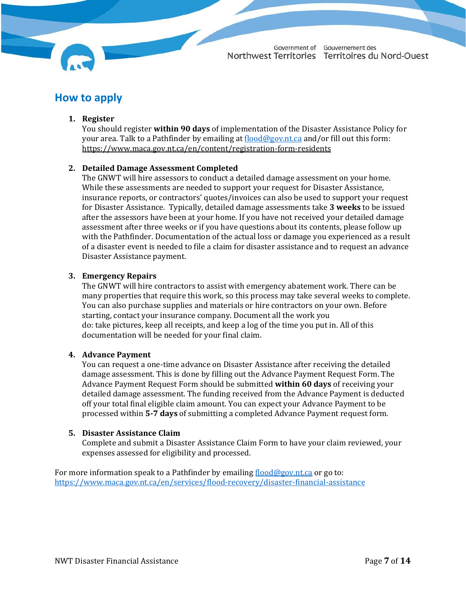### <span id="page-7-0"></span>**How to apply**

#### **1. Register**

You should register **within 90 days** of implementation of the Disaster Assistance Policy for your area. Talk to a Pathfinder by emailing a[t flood@gov.nt.ca](mailto:flood@gov.nt.ca) and/or fill out this form: <https://www.maca.gov.nt.ca/en/content/registration-form-residents>

### **2. Detailed Damage Assessment Completed**

The GNWT will hire assessors to conduct a detailed damage assessment on your home. While these assessments are needed to support your request for Disaster Assistance, insurance reports, or contractors' quotes/invoices can also be used to support your request for Disaster Assistance. Typically, detailed damage assessments take **3 weeks** to be issued after the assessors have been at your home. If you have not received your detailed damage assessment after three weeks or if you have questions about its contents, please follow up with the Pathfinder. Documentation of the actual loss or damage you experienced as a result of a disaster event is needed to file a claim for disaster assistance and to request an advance Disaster Assistance payment.

#### **3. Emergency Repairs**

The GNWT will hire contractors to assist with emergency abatement work. There can be many properties that require this work, so this process may take several weeks to complete. You can also purchase supplies and materials or hire contractors on your own. Before starting, contact your insurance company. Document all the work you do: take pictures, keep all receipts, and keep a log of the time you put in. All of this documentation will be needed for your final claim.

#### **4. Advance Payment**

You can request a one-time advance on Disaster Assistance after receiving the detailed damage assessment. This is done by filling out the Advance Payment Request Form. The Advance Payment Request Form should be submitted **within 60 days** of receiving your detailed damage assessment. The funding received from the Advance Payment is deducted off your total final eligible claim amount. You can expect your Advance Payment to be processed within **5-7 days** of submitting a completed Advance Payment request form.

#### **5. Disaster Assistance Claim**

Complete and submit a Disaster Assistance Claim Form to have your claim reviewed, your expenses assessed for eligibility and processed.

For more information speak to a Pathfinder by emailing  $flood@gov.n.t.ca$  or go to: <https://www.maca.gov.nt.ca/en/services/flood-recovery/disaster-financial-assistance>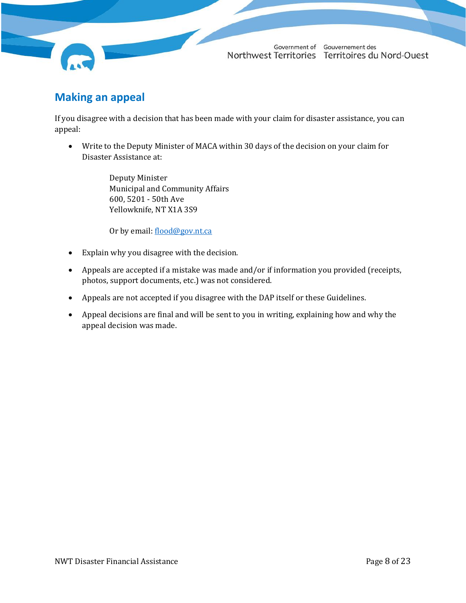### <span id="page-8-0"></span>**Making an appeal**

If you disagree with a decision that has been made with your claim for disaster assistance, you can appeal:

• Write to the Deputy Minister of MACA within 30 days of the decision on your claim for Disaster Assistance at:

> Deputy Minister Municipal and Community Affairs 600, 5201 - 50th Ave Yellowknife, NT X1A 3S9

Or by email: [flood@gov.nt.ca](mailto:public_safety@gov.nt.ca)

- Explain why you disagree with the decision.
- Appeals are accepted if a mistake was made and/or if information you provided (receipts, photos, support documents, etc.) was not considered.
- Appeals are not accepted if you disagree with the DAP itself or these Guidelines.
- Appeal decisions are final and will be sent to you in writing, explaining how and why the appeal decision was made.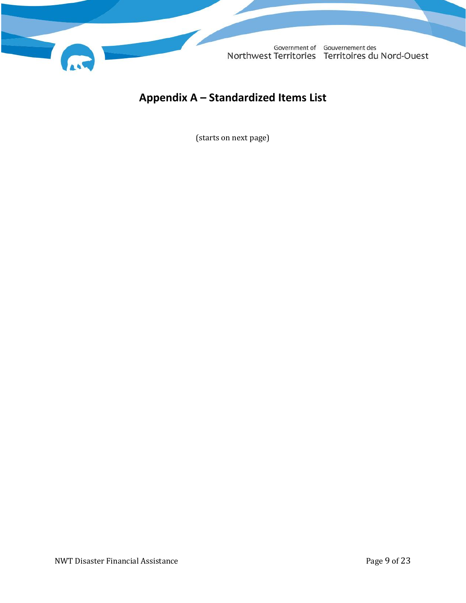

# <span id="page-9-0"></span>**Appendix A – Standardized Items List**

(starts on next page)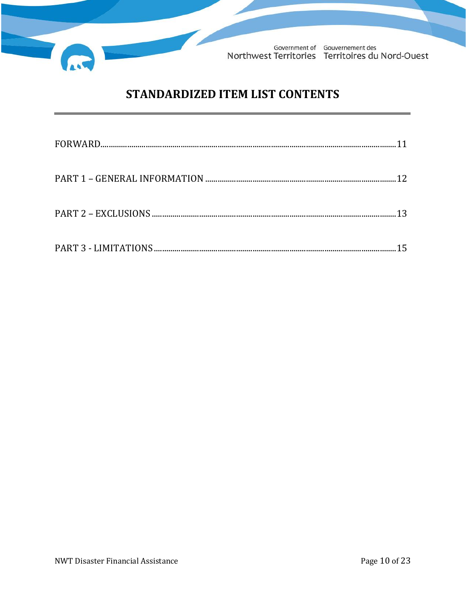

# STANDARDIZED ITEM LIST CONTENTS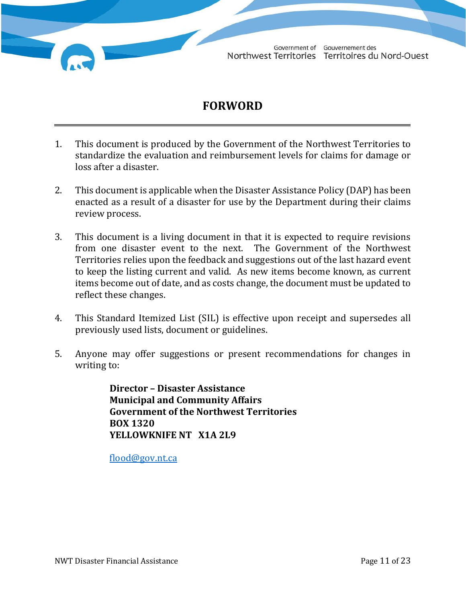# **FORWORD**

- 1. This document is produced by the Government of the Northwest Territories to standardize the evaluation and reimbursement levels for claims for damage or loss after a disaster.
- 2. This document is applicable when the Disaster Assistance Policy (DAP) has been enacted as a result of a disaster for use by the Department during their claims review process.
- 3. This document is a living document in that it is expected to require revisions from one disaster event to the next. The Government of the Northwest Territories relies upon the feedback and suggestions out of the last hazard event to keep the listing current and valid. As new items become known, as current items become out of date, and as costs change, the document must be updated to reflect these changes.
- 4. This Standard Itemized List (SIL) is effective upon receipt and supersedes all previously used lists, document or guidelines.
- 5. Anyone may offer suggestions or present recommendations for changes in writing to:

**Director – Disaster Assistance Municipal and Community Affairs Government of the Northwest Territories BOX 1320 YELLOWKNIFE NT X1A 2L9**

[flood@gov.nt.ca](mailto:flood@gov.nt.ca)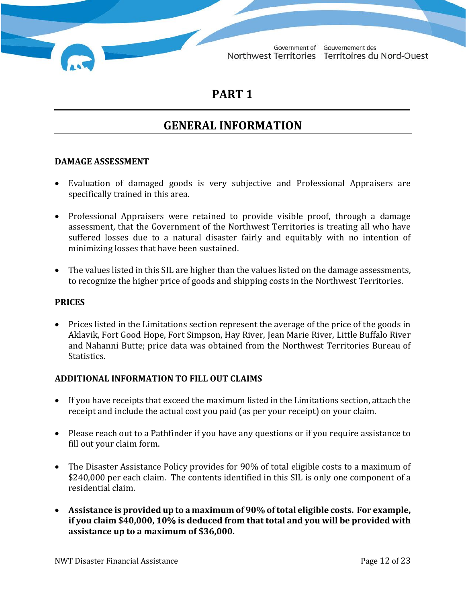### **PART 1**

# **GENERAL INFORMATION**

### **DAMAGE ASSESSMENT**

- Evaluation of damaged goods is very subjective and Professional Appraisers are specifically trained in this area.
- Professional Appraisers were retained to provide visible proof, through a damage assessment, that the Government of the Northwest Territories is treating all who have suffered losses due to a natural disaster fairly and equitably with no intention of minimizing losses that have been sustained.
- The values listed in this SIL are higher than the values listed on the damage assessments, to recognize the higher price of goods and shipping costs in the Northwest Territories.

#### **PRICES**

• Prices listed in the Limitations section represent the average of the price of the goods in Aklavik, Fort Good Hope, Fort Simpson, Hay River, Jean Marie River, Little Buffalo River and Nahanni Butte; price data was obtained from the Northwest Territories Bureau of Statistics.

### **ADDITIONAL INFORMATION TO FILL OUT CLAIMS**

- If you have receipts that exceed the maximum listed in the Limitations section, attach the receipt and include the actual cost you paid (as per your receipt) on your claim.
- Please reach out to a Pathfinder if you have any questions or if you require assistance to fill out your claim form.
- The Disaster Assistance Policy provides for 90% of total eligible costs to a maximum of \$240,000 per each claim. The contents identified in this SIL is only one component of a residential claim.
- **Assistance is provided up to a maximum of 90% of total eligible costs. For example, if you claim \$40,000, 10% is deduced from that total and you will be provided with assistance up to a maximum of \$36,000.**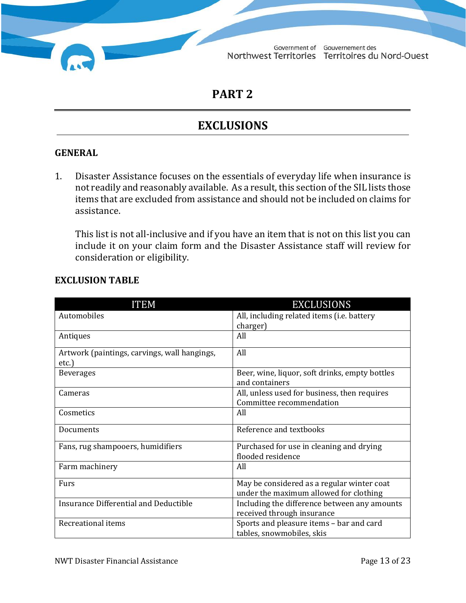**PART 2**

# **EXCLUSIONS**

### **GENERAL**

1. Disaster Assistance focuses on the essentials of everyday life when insurance is not readily and reasonably available. As a result, this section of the SIL lists those items that are excluded from assistance and should not be included on claims for assistance.

This list is not all-inclusive and if you have an item that is not on this list you can include it on your claim form and the Disaster Assistance staff will review for consideration or eligibility.

| <b>ITEM</b>                                  | <b>EXCLUSIONS</b>                                                          |
|----------------------------------------------|----------------------------------------------------------------------------|
| Automobiles                                  | All, including related items (i.e. battery                                 |
|                                              | charger)                                                                   |
| Antiques                                     | All                                                                        |
| Artwork (paintings, carvings, wall hangings, | All                                                                        |
| etc.)                                        |                                                                            |
| <b>Beverages</b>                             | Beer, wine, liquor, soft drinks, empty bottles                             |
|                                              | and containers                                                             |
| Cameras                                      | All, unless used for business, then requires                               |
|                                              | Committee recommendation                                                   |
| Cosmetics                                    | All                                                                        |
| Documents                                    | Reference and textbooks                                                    |
| Fans, rug shampooers, humidifiers            | Purchased for use in cleaning and drying                                   |
|                                              | flooded residence                                                          |
| Farm machinery                               | All                                                                        |
| Furs                                         | May be considered as a regular winter coat                                 |
|                                              | under the maximum allowed for clothing                                     |
| Insurance Differential and Deductible        | Including the difference between any amounts<br>received through insurance |
| Recreational items                           | Sports and pleasure items - bar and card                                   |
|                                              | tables, snowmobiles, skis                                                  |

### **EXCLUSION TABLE**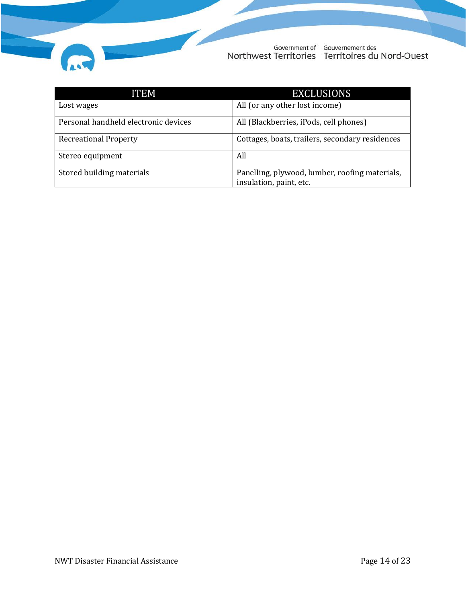

| <b>ITEM</b>                          | <b>EXCLUSIONS</b>                                                         |
|--------------------------------------|---------------------------------------------------------------------------|
| Lost wages                           | All (or any other lost income)                                            |
| Personal handheld electronic devices | All (Blackberries, iPods, cell phones)                                    |
| <b>Recreational Property</b>         | Cottages, boats, trailers, secondary residences                           |
| Stereo equipment                     | All                                                                       |
| Stored building materials            | Panelling, plywood, lumber, roofing materials,<br>insulation, paint, etc. |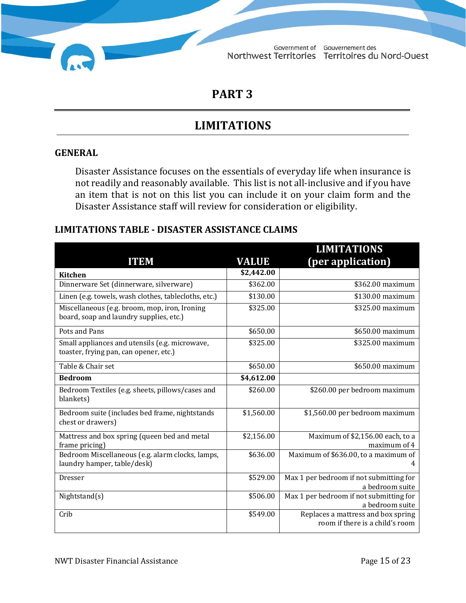### **PART 3**

# **LIMITATIONS**

### **GENERAL**

Disaster Assistance focuses on the essentials of everyday life when insurance is not readily and reasonably available. This list is not all-inclusive and if you have an item that is not on this list you can include it on your claim form and the Disaster Assistance staff will review for consideration or eligibility.

### **LIMITATIONS TABLE - DISASTER ASSISTANCE CLAIMS**

|                                                                                          |              | <b>LIMITATIONS</b>                                                    |
|------------------------------------------------------------------------------------------|--------------|-----------------------------------------------------------------------|
| <b>ITEM</b>                                                                              | <b>VALUE</b> | (per application)                                                     |
| <b>Kitchen</b>                                                                           | \$2,442.00   |                                                                       |
| Dinnerware Set (dinnerware, silverware)                                                  | \$362.00     | \$362.00 maximum                                                      |
| Linen (e.g. towels, wash clothes, tablecloths, etc.)                                     | \$130.00     | \$130.00 maximum                                                      |
| Miscellaneous (e.g. broom, mop, iron, Ironing<br>board, soap and laundry supplies, etc.) | \$325.00     | \$325.00 maximum                                                      |
| Pots and Pans                                                                            | \$650.00     | \$650.00 maximum                                                      |
| Small appliances and utensils (e.g. microwave,<br>toaster, frying pan, can opener, etc.) | \$325.00     | \$325.00 maximum                                                      |
| Table & Chair set                                                                        | \$650.00     | \$650.00 maximum                                                      |
| <b>Bedroom</b>                                                                           | \$4,612.00   |                                                                       |
| Bedroom Textiles (e.g. sheets, pillows/cases and<br>blankets)                            | \$260.00     | \$260.00 per bedroom maximum                                          |
| Bedroom suite (includes bed frame, nightstands<br>chest or drawers)                      | \$1,560.00   | \$1,560.00 per bedroom maximum                                        |
| Mattress and box spring (queen bed and metal<br>frame pricing)                           | \$2,156.00   | Maximum of \$2,156.00 each, to a<br>maximum of 4                      |
| Bedroom Miscellaneous (e.g. alarm clocks, lamps,<br>laundry hamper, table/desk)          | \$636.00     | Maximum of \$636.00, to a maximum of<br>4                             |
| <b>Dresser</b>                                                                           | \$529.00     | Max 1 per bedroom if not submitting for<br>a bedroom suite            |
| Nightstand(s)                                                                            | \$506.00     | Max 1 per bedroom if not submitting for<br>a bedroom suite            |
| Crib                                                                                     | \$549.00     | Replaces a mattress and box spring<br>room if there is a child's room |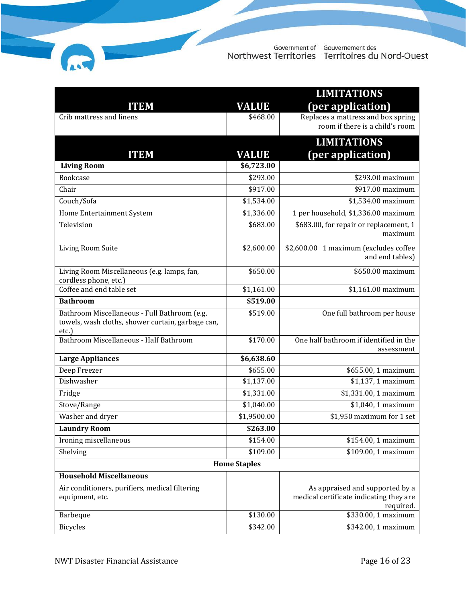|                                                                                                            |                     | <b>LIMITATIONS</b>                                                                      |
|------------------------------------------------------------------------------------------------------------|---------------------|-----------------------------------------------------------------------------------------|
| <b>ITEM</b>                                                                                                | <b>VALUE</b>        | (per application)                                                                       |
| Crib mattress and linens                                                                                   | \$468.00            | Replaces a mattress and box spring<br>room if there is a child's room                   |
|                                                                                                            |                     | <b>LIMITATIONS</b>                                                                      |
| <b>ITEM</b>                                                                                                | <b>VALUE</b>        | (per application)                                                                       |
| <b>Living Room</b>                                                                                         | \$6,723.00          |                                                                                         |
| <b>Bookcase</b>                                                                                            | \$293.00            | $$293.00$ maximum                                                                       |
| Chair                                                                                                      | \$917.00            | \$917.00 maximum                                                                        |
| Couch/Sofa                                                                                                 | \$1,534.00          | \$1,534.00 maximum                                                                      |
| Home Entertainment System                                                                                  | \$1,336.00          | 1 per household, \$1,336.00 maximum                                                     |
| Television                                                                                                 | \$683.00            | \$683.00, for repair or replacement, 1<br>maximum                                       |
| Living Room Suite                                                                                          | \$2,600.00          | \$2,600.00 1 maximum (excludes coffee<br>and end tables)                                |
| Living Room Miscellaneous (e.g. lamps, fan,<br>cordless phone, etc.)                                       | \$650.00            | \$650.00 maximum                                                                        |
| Coffee and end table set                                                                                   | \$1,161.00          | \$1,161.00 maximum                                                                      |
| <b>Bathroom</b>                                                                                            | \$519.00            |                                                                                         |
| Bathroom Miscellaneous - Full Bathroom (e.g.<br>towels, wash cloths, shower curtain, garbage can,<br>etc.) | \$519.00            | One full bathroom per house                                                             |
| Bathroom Miscellaneous - Half Bathroom                                                                     | \$170.00            | One half bathroom if identified in the<br>assessment                                    |
| <b>Large Appliances</b>                                                                                    | \$6,638.60          |                                                                                         |
| Deep Freezer                                                                                               | \$655.00            | \$655.00, 1 maximum                                                                     |
| Dishwasher                                                                                                 | \$1,137.00          | \$1,137, 1 maximum                                                                      |
| Fridge                                                                                                     | \$1,331.00          | \$1,331.00, 1 maximum                                                                   |
| Stove/Range                                                                                                | \$1,040.00          | \$1,040, 1 maximum                                                                      |
| Washer and dryer                                                                                           | \$1,9500.00         | \$1,950 maximum for 1 set                                                               |
| <b>Laundry Room</b>                                                                                        | \$263.00            |                                                                                         |
| Ironing miscellaneous                                                                                      | \$154.00            | \$154.00, 1 maximum                                                                     |
| Shelving                                                                                                   | \$109.00            | \$109.00, 1 maximum                                                                     |
|                                                                                                            | <b>Home Staples</b> |                                                                                         |
| <b>Household Miscellaneous</b>                                                                             |                     |                                                                                         |
| Air conditioners, purifiers, medical filtering<br>equipment, etc.                                          |                     | As appraised and supported by a<br>medical certificate indicating they are<br>required. |
| Barbeque                                                                                                   | \$130.00            | \$330.00, 1 maximum                                                                     |
| <b>Bicycles</b>                                                                                            | \$342.00            | \$342.00, 1 maximum                                                                     |

ſ.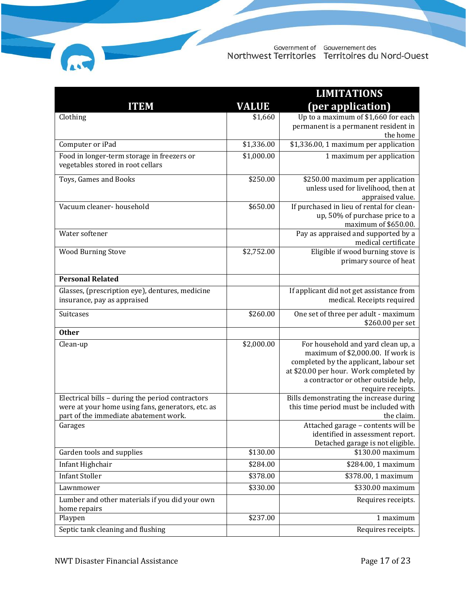|                                                                                                                                                |              | <b>LIMITATIONS</b>                                                                                                                                                                                                      |
|------------------------------------------------------------------------------------------------------------------------------------------------|--------------|-------------------------------------------------------------------------------------------------------------------------------------------------------------------------------------------------------------------------|
| <b>ITEM</b>                                                                                                                                    | <b>VALUE</b> | (per application)                                                                                                                                                                                                       |
| Clothing                                                                                                                                       | \$1,660      | Up to a maximum of \$1,660 for each<br>permanent is a permanent resident in<br>the home                                                                                                                                 |
| Computer or iPad                                                                                                                               | \$1,336.00   | \$1,336.00, 1 maximum per application                                                                                                                                                                                   |
| Food in longer-term storage in freezers or<br>vegetables stored in root cellars                                                                | \$1,000.00   | 1 maximum per application                                                                                                                                                                                               |
| Toys, Games and Books                                                                                                                          | \$250.00     | \$250.00 maximum per application<br>unless used for livelihood, then at<br>appraised value.                                                                                                                             |
| Vacuum cleaner- household                                                                                                                      | \$650.00     | If purchased in lieu of rental for clean-<br>up, 50% of purchase price to a<br>maximum of \$650.00.                                                                                                                     |
| Water softener                                                                                                                                 |              | Pay as appraised and supported by a<br>medical certificate                                                                                                                                                              |
| <b>Wood Burning Stove</b>                                                                                                                      | \$2,752.00   | Eligible if wood burning stove is<br>primary source of heat                                                                                                                                                             |
| <b>Personal Related</b>                                                                                                                        |              |                                                                                                                                                                                                                         |
| Glasses, (prescription eye), dentures, medicine<br>insurance, pay as appraised                                                                 |              | If applicant did not get assistance from<br>medical. Receipts required                                                                                                                                                  |
| Suitcases                                                                                                                                      | \$260.00     | One set of three per adult - maximum<br>\$260.00 per set                                                                                                                                                                |
| <b>Other</b>                                                                                                                                   |              |                                                                                                                                                                                                                         |
| Clean-up                                                                                                                                       | \$2,000.00   | For household and yard clean up, a<br>maximum of \$2,000.00. If work is<br>completed by the applicant, labour set<br>at \$20.00 per hour. Work completed by<br>a contractor or other outside help,<br>require receipts. |
| Electrical bills - during the period contractors<br>were at your home using fans, generators, etc. as<br>part of the immediate abatement work. |              | Bills demonstrating the increase during<br>this time period must be included with<br>the claim.                                                                                                                         |
| Garages                                                                                                                                        |              | Attached garage - contents will be<br>identified in assessment report.<br>Detached garage is not eligible.                                                                                                              |
| Garden tools and supplies                                                                                                                      | \$130.00     | \$130.00 maximum                                                                                                                                                                                                        |
| Infant Highchair                                                                                                                               | \$284.00     | \$284.00, 1 maximum                                                                                                                                                                                                     |
| <b>Infant Stoller</b>                                                                                                                          | \$378.00     | \$378.00, 1 maximum                                                                                                                                                                                                     |
| Lawnmower                                                                                                                                      | \$330.00     | \$330.00 maximum                                                                                                                                                                                                        |
| Lumber and other materials if you did your own<br>home repairs                                                                                 |              | Requires receipts.                                                                                                                                                                                                      |
| Playpen                                                                                                                                        | \$237.00     | 1 maximum                                                                                                                                                                                                               |
| Septic tank cleaning and flushing                                                                                                              |              | Requires receipts.                                                                                                                                                                                                      |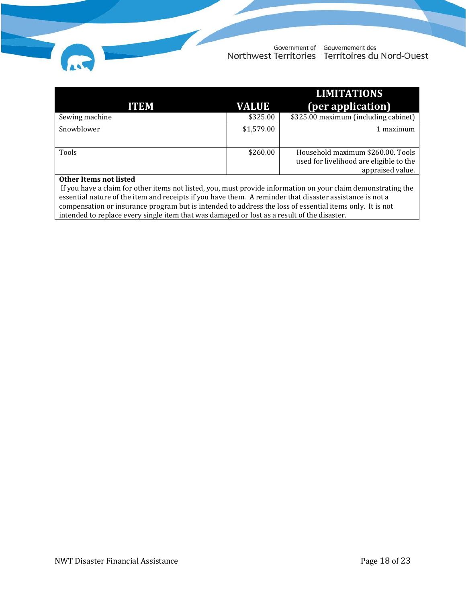|                |              | <b>LIMITATIONS</b>                      |
|----------------|--------------|-----------------------------------------|
| <b>ITEM</b>    | <b>VALUE</b> | (per application)                       |
| Sewing machine | \$325.00     | \$325.00 maximum (including cabinet)    |
| Snowblower     | \$1,579.00   | 1 maximum                               |
|                |              |                                         |
| Tools          | \$260.00     | Household maximum \$260.00. Tools       |
|                |              | used for livelihood are eligible to the |
|                |              | appraised value.                        |

#### **Other Items not listed**

If you have a claim for other items not listed, you, must provide information on your claim demonstrating the essential nature of the item and receipts if you have them. A reminder that disaster assistance is not a compensation or insurance program but is intended to address the loss of essential items only. It is not intended to replace every single item that was damaged or lost as a result of the disaster.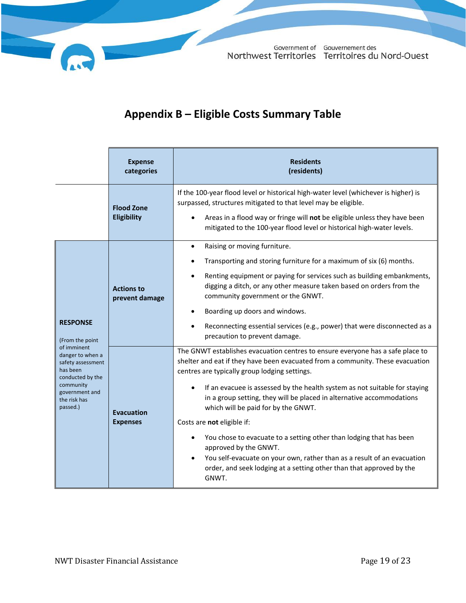# **Appendix B – Eligible Costs Summary Table**

<span id="page-19-0"></span>

|                                                                                                                                                 | <b>Expense</b><br>categories         | <b>Residents</b><br>(residents)                                                                                                                                                                                                                                                                                                                                                                                                                                                                                                                                                                                                                                                                           |
|-------------------------------------------------------------------------------------------------------------------------------------------------|--------------------------------------|-----------------------------------------------------------------------------------------------------------------------------------------------------------------------------------------------------------------------------------------------------------------------------------------------------------------------------------------------------------------------------------------------------------------------------------------------------------------------------------------------------------------------------------------------------------------------------------------------------------------------------------------------------------------------------------------------------------|
|                                                                                                                                                 | <b>Flood Zone</b><br>Eligibility     | If the 100-year flood level or historical high-water level (whichever is higher) is<br>surpassed, structures mitigated to that level may be eligible.<br>Areas in a flood way or fringe will not be eligible unless they have been<br>mitigated to the 100-year flood level or historical high-water levels.                                                                                                                                                                                                                                                                                                                                                                                              |
| <b>RESPONSE</b><br>(From the point                                                                                                              | <b>Actions to</b><br>prevent damage  | Raising or moving furniture.<br>$\bullet$<br>Transporting and storing furniture for a maximum of six (6) months.<br>Renting equipment or paying for services such as building embankments,<br>digging a ditch, or any other measure taken based on orders from the<br>community government or the GNWT.<br>Boarding up doors and windows.<br>Reconnecting essential services (e.g., power) that were disconnected as a<br>precaution to prevent damage.                                                                                                                                                                                                                                                   |
| of imminent<br>danger to when a<br>safety assessment<br>has been<br>conducted by the<br>community<br>government and<br>the risk has<br>passed.) | <b>Evacuation</b><br><b>Expenses</b> | The GNWT establishes evacuation centres to ensure everyone has a safe place to<br>shelter and eat if they have been evacuated from a community. These evacuation<br>centres are typically group lodging settings.<br>If an evacuee is assessed by the health system as not suitable for staying<br>in a group setting, they will be placed in alternative accommodations<br>which will be paid for by the GNWT.<br>Costs are not eligible if:<br>You chose to evacuate to a setting other than lodging that has been<br>approved by the GNWT.<br>You self-evacuate on your own, rather than as a result of an evacuation<br>order, and seek lodging at a setting other than that approved by the<br>GNWT. |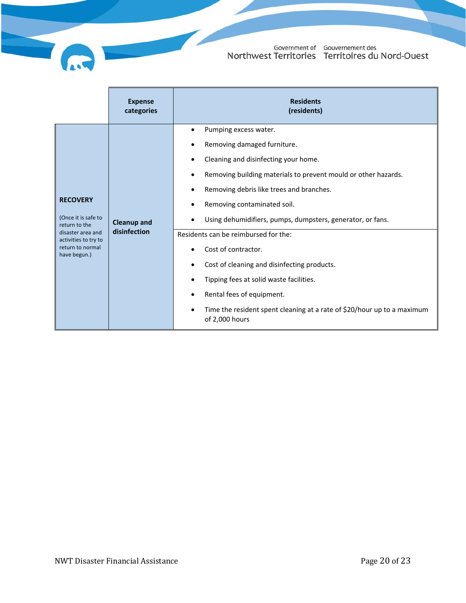|                                                                                                                                          | <b>Expense</b><br>categories       | <b>Residents</b><br>(residents)                                                                                                                                                                                                                                                                                                                                                                                                                                                                                                                                                                                      |
|------------------------------------------------------------------------------------------------------------------------------------------|------------------------------------|----------------------------------------------------------------------------------------------------------------------------------------------------------------------------------------------------------------------------------------------------------------------------------------------------------------------------------------------------------------------------------------------------------------------------------------------------------------------------------------------------------------------------------------------------------------------------------------------------------------------|
| <b>RECOVERY</b><br>(Once it is safe to<br>return to the<br>disaster area and<br>activities to try to<br>return to normal<br>have begun.) | <b>Cleanup and</b><br>disinfection | Pumping excess water.<br>$\bullet$<br>Removing damaged furniture.<br>Cleaning and disinfecting your home.<br>Removing building materials to prevent mould or other hazards.<br>$\bullet$<br>Removing debris like trees and branches.<br>Removing contaminated soil.<br>Using dehumidifiers, pumps, dumpsters, generator, or fans.<br>Residents can be reimbursed for the:<br>Cost of contractor.<br>Cost of cleaning and disinfecting products.<br>Tipping fees at solid waste facilities.<br>Rental fees of equipment.<br>Time the resident spent cleaning at a rate of \$20/hour up to a maximum<br>of 2,000 hours |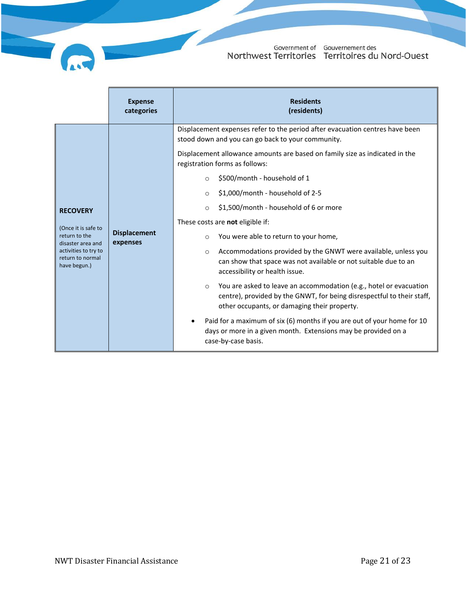

|                                                                                                                                          | <b>Expense</b><br>categories                                                                                                                                                                                                                       | <b>Residents</b><br>(residents)                                                                                                                                                                                                                                                                                                                                                                                                                                                                                                                                                                                                                                                                                                                                                                      |
|------------------------------------------------------------------------------------------------------------------------------------------|----------------------------------------------------------------------------------------------------------------------------------------------------------------------------------------------------------------------------------------------------|------------------------------------------------------------------------------------------------------------------------------------------------------------------------------------------------------------------------------------------------------------------------------------------------------------------------------------------------------------------------------------------------------------------------------------------------------------------------------------------------------------------------------------------------------------------------------------------------------------------------------------------------------------------------------------------------------------------------------------------------------------------------------------------------------|
|                                                                                                                                          | Displacement expenses refer to the period after evacuation centres have been<br>stood down and you can go back to your community.<br>Displacement allowance amounts are based on family size as indicated in the<br>registration forms as follows: |                                                                                                                                                                                                                                                                                                                                                                                                                                                                                                                                                                                                                                                                                                                                                                                                      |
| <b>RECOVERY</b><br>(Once it is safe to<br>return to the<br>disaster area and<br>activities to try to<br>return to normal<br>have begun.) | <b>Displacement</b><br>expenses                                                                                                                                                                                                                    | \$500/month - household of 1<br>$\circ$<br>\$1,000/month - household of 2-5<br>$\circ$<br>\$1,500/month - household of 6 or more<br>$\circ$<br>These costs are not eligible if:<br>You were able to return to your home,<br>$\circ$<br>Accommodations provided by the GNWT were available, unless you<br>$\circ$<br>can show that space was not available or not suitable due to an<br>accessibility or health issue.<br>You are asked to leave an accommodation (e.g., hotel or evacuation<br>$\circ$<br>centre), provided by the GNWT, for being disrespectful to their staff,<br>other occupants, or damaging their property.<br>Paid for a maximum of six (6) months if you are out of your home for 10<br>days or more in a given month. Extensions may be provided on a<br>case-by-case basis. |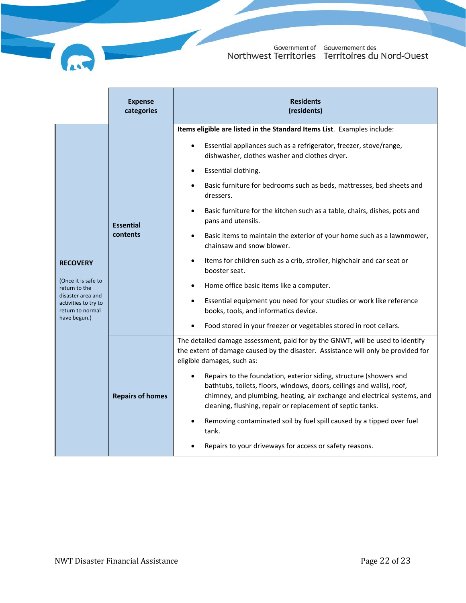|                                                                                                                                          | <b>Expense</b><br>categories | <b>Residents</b><br>(residents)                                                                                                                                                                                                                                                                    |
|------------------------------------------------------------------------------------------------------------------------------------------|------------------------------|----------------------------------------------------------------------------------------------------------------------------------------------------------------------------------------------------------------------------------------------------------------------------------------------------|
| <b>RECOVERY</b><br>(Once it is safe to<br>return to the<br>disaster area and<br>activities to try to<br>return to normal<br>have begun.) | <b>Essential</b><br>contents | Items eligible are listed in the Standard Items List. Examples include:                                                                                                                                                                                                                            |
|                                                                                                                                          |                              | Essential appliances such as a refrigerator, freezer, stove/range,<br>dishwasher, clothes washer and clothes dryer.                                                                                                                                                                                |
|                                                                                                                                          |                              | Essential clothing.<br>$\bullet$                                                                                                                                                                                                                                                                   |
|                                                                                                                                          |                              | Basic furniture for bedrooms such as beds, mattresses, bed sheets and<br>dressers.                                                                                                                                                                                                                 |
|                                                                                                                                          |                              | Basic furniture for the kitchen such as a table, chairs, dishes, pots and<br>$\bullet$<br>pans and utensils.                                                                                                                                                                                       |
|                                                                                                                                          |                              | Basic items to maintain the exterior of your home such as a lawnmower,<br>chainsaw and snow blower.                                                                                                                                                                                                |
|                                                                                                                                          |                              | Items for children such as a crib, stroller, highchair and car seat or<br>$\bullet$<br>booster seat.                                                                                                                                                                                               |
|                                                                                                                                          |                              | Home office basic items like a computer.                                                                                                                                                                                                                                                           |
|                                                                                                                                          |                              | Essential equipment you need for your studies or work like reference<br>books, tools, and informatics device.                                                                                                                                                                                      |
|                                                                                                                                          |                              | Food stored in your freezer or vegetables stored in root cellars.                                                                                                                                                                                                                                  |
|                                                                                                                                          | <b>Repairs of homes</b>      | The detailed damage assessment, paid for by the GNWT, will be used to identify<br>the extent of damage caused by the disaster. Assistance will only be provided for<br>eligible damages, such as:                                                                                                  |
|                                                                                                                                          |                              | Repairs to the foundation, exterior siding, structure (showers and<br>$\bullet$<br>bathtubs, toilets, floors, windows, doors, ceilings and walls), roof,<br>chimney, and plumbing, heating, air exchange and electrical systems, and<br>cleaning, flushing, repair or replacement of septic tanks. |
|                                                                                                                                          |                              | Removing contaminated soil by fuel spill caused by a tipped over fuel<br>tank.                                                                                                                                                                                                                     |
|                                                                                                                                          |                              | Repairs to your driveways for access or safety reasons.                                                                                                                                                                                                                                            |

 $\overline{\phantom{a}}$